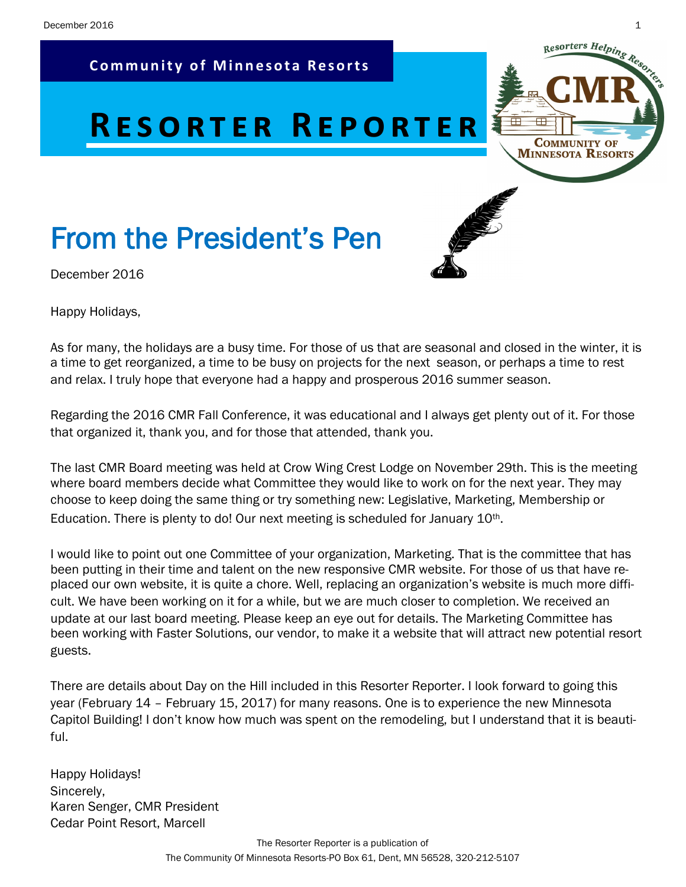**Community of Minnesota Resorts** 

# **RESORTER REPORTER**

# From the President's Pen



December 2016

Happy Holidays,

As for many, the holidays are a busy time. For those of us that are seasonal and closed in the winter, it is a time to get reorganized, a time to be busy on projects for the next season, or perhaps a time to rest and relax. I truly hope that everyone had a happy and prosperous 2016 summer season.

Regarding the 2016 CMR Fall Conference, it was educational and I always get plenty out of it. For those that organized it, thank you, and for those that attended, thank you.

The last CMR Board meeting was held at Crow Wing Crest Lodge on November 29th. This is the meeting where board members decide what Committee they would like to work on for the next year. They may choose to keep doing the same thing or try something new: Legislative, Marketing, Membership or Education. There is plenty to do! Our next meeting is scheduled for January  $10<sup>th</sup>$ .

I would like to point out one Committee of your organization, Marketing. That is the committee that has been putting in their time and talent on the new responsive CMR website. For those of us that have replaced our own website, it is quite a chore. Well, replacing an organization's website is much more difficult. We have been working on it for a while, but we are much closer to completion. We received an update at our last board meeting. Please keep an eye out for details. The Marketing Committee has been working with Faster Solutions, our vendor, to make it a website that will attract new potential resort guests.

There are details about Day on the Hill included in this Resorter Reporter. I look forward to going this year (February 14 – February 15, 2017) for many reasons. One is to experience the new Minnesota Capitol Building! I don't know how much was spent on the remodeling, but I understand that it is beautiful.

Happy Holidays! Sincerely, Karen Senger, CMR President Cedar Point Resort, Marcell

**COMMUNITY OF MINNESOTA RESORTS**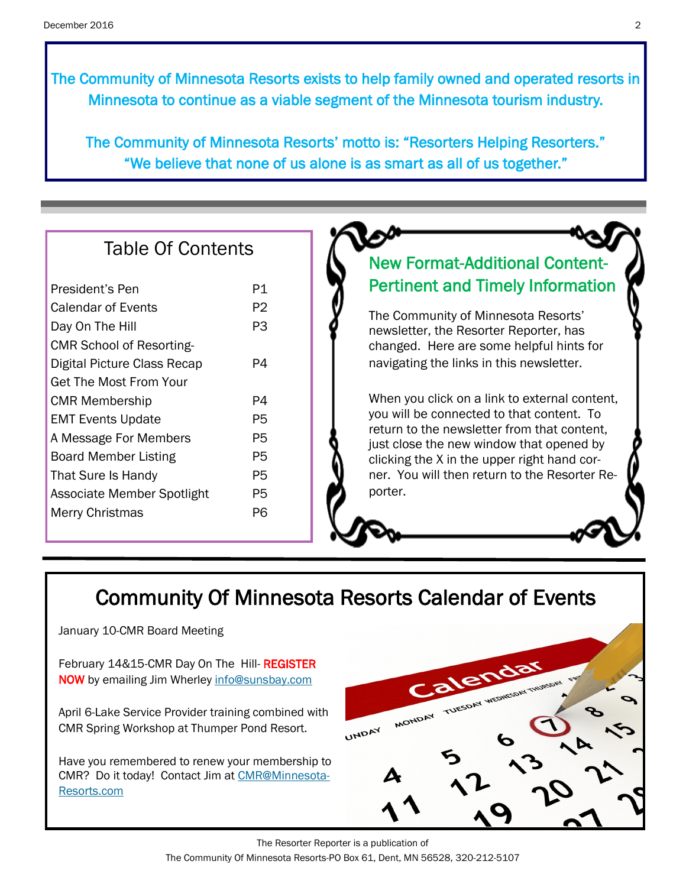The Community of Minnesota Resorts exists to help family owned and operated resorts in Minnesota to continue as a viable segment of the Minnesota tourism industry.

The Community of Minnesota Resorts' motto is: "Resorters Helping Resorters." "We believe that none of us alone is as smart as all of us together."

## Table Of Contents

| President's Pen                 | P1 |
|---------------------------------|----|
| Calendar of Events              | P2 |
| Day On The Hill                 | PЗ |
| <b>CMR School of Resorting-</b> |    |
| Digital Picture Class Recap     | P4 |
| Get The Most From Your          |    |
| <b>CMR Membership</b>           | P4 |
| <b>EMT Events Update</b>        | P5 |
| A Message For Members           | P5 |
| <b>Board Member Listing</b>     | P5 |
| That Sure Is Handy              | P5 |
| Associate Member Spotlight      | P5 |
| <b>Merry Christmas</b>          | P6 |
|                                 |    |

## New Format-Additional Content-Pertinent and Timely Information

The Community of Minnesota Resorts' newsletter, the Resorter Reporter, has changed. Here are some helpful hints for navigating the links in this newsletter.

When you click on a link to external content, you will be connected to that content. To return to the newsletter from that content, just close the new window that opened by clicking the X in the upper right hand corner. You will then return to the Resorter Reporter.

## Community Of Minnesota Resorts Calendar of Events

January 10-CMR Board Meeting

February 14&15-CMR Day On The Hill-REGISTER NOW by emailing Jim Wherley [info@sunsbay.com](mailto:info@sunsbay.com?subject=Day%20on%20The%20Hill%20Registration)

April 6-Lake Service Provider training combined with CMR Spring Workshop at Thumper Pond Resort.

Have you remembered to renew your membership to CMR? Do it today! Contact Jim at [CMR@Minnesota-](mailto:CMR@Minnesota-Resorts.com?subject=Membership%20Renewal)[Resorts.com](mailto:CMR@Minnesota-Resorts.com?subject=Membership%20Renewal) 



The Resorter Reporter is a publication of The Community Of Minnesota Resorts-PO Box 61, Dent, MN 56528, 320-212-5107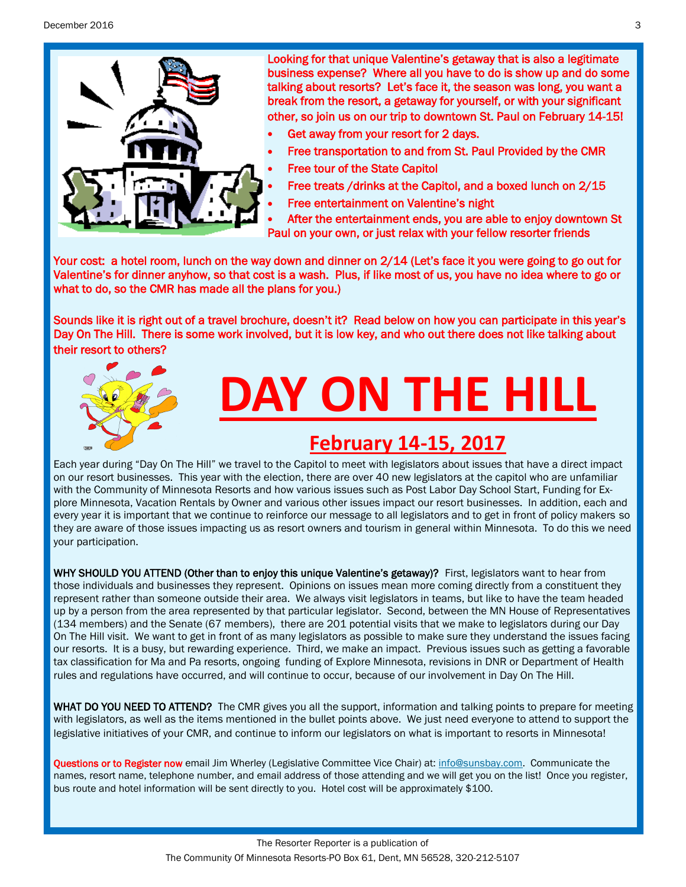December 2016 3



Looking for that unique Valentine's getaway that is also a legitimate business expense? Where all you have to do is show up and do some talking about resorts? Let's face it, the season was long, you want a break from the resort, a getaway for yourself, or with your significant other, so join us on our trip to downtown St. Paul on February 14-15!

- Get away from your resort for 2 days.
- Free transportation to and from St. Paul Provided by the CMR
- Free tour of the State Capitol
- Free treats /drinks at the Capitol, and a boxed lunch on 2/15
- Free entertainment on Valentine's night

 After the entertainment ends, you are able to enjoy downtown St Paul on your own, or just relax with your fellow resorter friends

Your cost: a hotel room, lunch on the way down and dinner on 2/14 (Let's face it you were going to go out for Valentine's for dinner anyhow, so that cost is a wash. Plus, if like most of us, you have no idea where to go or what to do, so the CMR has made all the plans for you.)

Sounds like it is right out of a travel brochure, doesn't it? Read below on how you can participate in this year's Day On The Hill. There is some work involved, but it is low key, and who out there does not like talking about their resort to others?



Each year during "Day On The Hill" we travel to the Capitol to meet with legislators about issues that have a direct impact on our resort businesses. This year with the election, there are over 40 new legislators at the capitol who are unfamiliar with the Community of Minnesota Resorts and how various issues such as Post Labor Day School Start, Funding for Explore Minnesota, Vacation Rentals by Owner and various other issues impact our resort businesses. In addition, each and every year it is important that we continue to reinforce our message to all legislators and to get in front of policy makers so they are aware of those issues impacting us as resort owners and tourism in general within Minnesota. To do this we need your participation.

WHY SHOULD YOU ATTEND (Other than to enjoy this unique Valentine's getaway)? First, legislators want to hear from those individuals and businesses they represent. Opinions on issues mean more coming directly from a constituent they represent rather than someone outside their area. We always visit legislators in teams, but like to have the team headed up by a person from the area represented by that particular legislator. Second, between the MN House of Representatives (134 members) and the Senate (67 members), there are 201 potential visits that we make to legislators during our Day On The Hill visit. We want to get in front of as many legislators as possible to make sure they understand the issues facing our resorts. It is a busy, but rewarding experience. Third, we make an impact. Previous issues such as getting a favorable tax classification for Ma and Pa resorts, ongoing funding of Explore Minnesota, revisions in DNR or Department of Health rules and regulations have occurred, and will continue to occur, because of our involvement in Day On The Hill.

WHAT DO YOU NEED TO ATTEND? The CMR gives you all the support, information and talking points to prepare for meeting with legislators, as well as the items mentioned in the bullet points above. We just need everyone to attend to support the legislative initiatives of your CMR, and continue to inform our legislators on what is important to resorts in Minnesota!

Questions or to Register now email Jim Wherley (Legislative Committee Vice Chair) at: [info@sunsbay.com.](mailto:info@sunsbay.com?subject=Day%20On%20The%20Hill%20Registration) Communicate the names, resort name, telephone number, and email address of those attending and we will get you on the list! Once you register, bus route and hotel information will be sent directly to you. Hotel cost will be approximately \$100.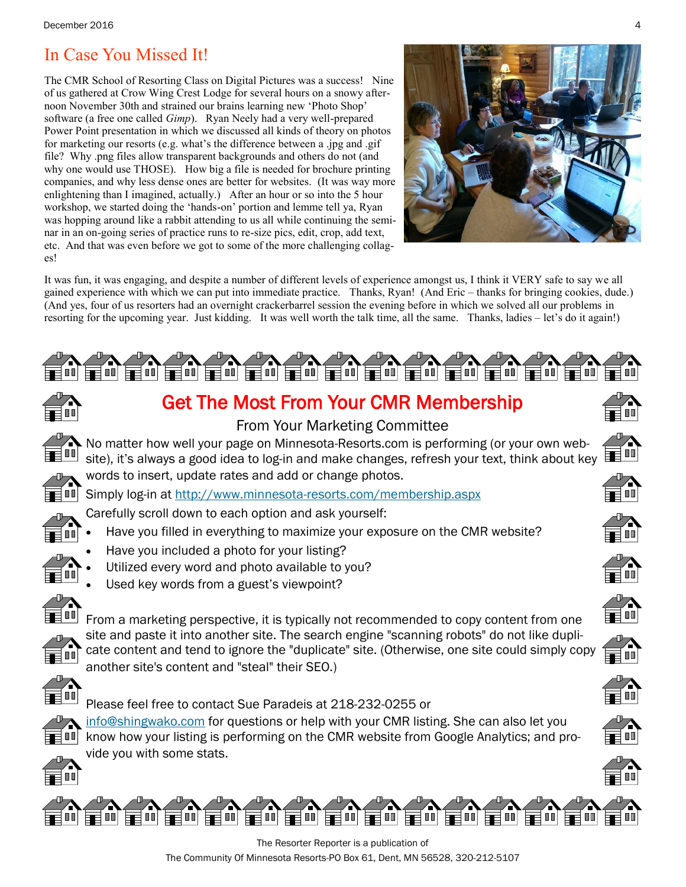## In Case You Missed It!

The CMR School of Resorting Class on Digital Pictures was a success! Nine of us gathered at Crow Wing Crest Lodge for several hours on a snowy afternoon November 30th and strained our brains learning new 'Photo Shop' software (a free one called *Gimp*). Ryan Neely had a very well-prepared Power Point presentation in which we discussed all kinds of theory on photos for marketing our resorts (e.g. what's the difference between a .jpg and .gif file? Why .png files allow transparent backgrounds and others do not (and why one would use THOSE). How big a file is needed for brochure printing companies, and why less dense ones are better for websites. (It was way more enlightening than I imagined, actually.) After an hour or so into the 5 hour workshop, we started doing the 'hands-on' portion and lemme tell ya, Ryan was hopping around like a rabbit attending to us all while continuing the seminar in an on-going series of practice runs to re-size pics, edit, crop, add text, etc. And that was even before we got to some of the more challenging collages!

![](_page_3_Picture_3.jpeg)

It was fun, it was engaging, and despite a number of different levels of experience amongst us, I think it VERY safe to say we all gained experience with which we can put into immediate practice. Thanks, Ryan! (And Eric – thanks for bringing cookies, dude.) (And yes, four of us resorters had an overnight crackerbarrel session the evening before in which we solved all our problems in resorting for the upcoming year. Just kidding. It was well worth the talk time, all the same. Thanks, ladies – let's do it again!)

![](_page_3_Figure_5.jpeg)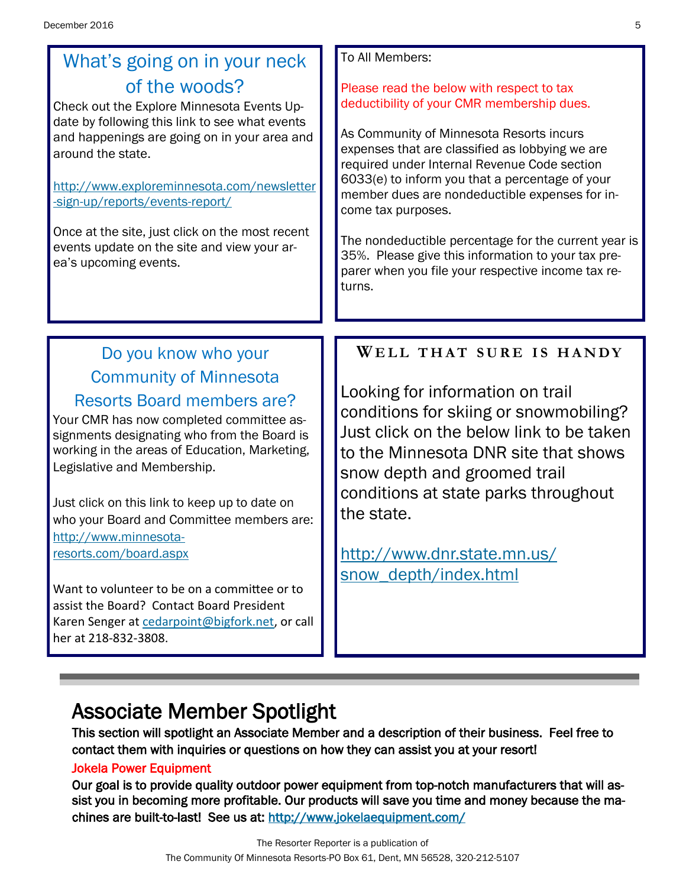## What's going on in your neck of the woods?

Check out the Explore Minnesota Events Update by following this link to see what events and happenings are going on in your area and around the state.

[http://www.exploreminnesota.com/newsletter](http://www.exploreminnesota.com/newsletter-sign-up/reports/events-report/) [-sign-up/reports/events-report/](http://www.exploreminnesota.com/newsletter-sign-up/reports/events-report/)

Once at the site, just click on the most recent events update on the site and view your area's upcoming events.

#### To All Members:

Please read the below with respect to tax deductibility of your CMR membership dues.

As Community of Minnesota Resorts incurs expenses that are classified as lobbying we are required under Internal Revenue Code section 6033(e) to inform you that a percentage of your member dues are nondeductible expenses for income tax purposes.

The nondeductible percentage for the current year is 35%. Please give this information to your tax preparer when you file your respective income tax returns.

### Do you know who your Community of Minnesota Resorts Board members are?

Your CMR has now completed committee assignments designating who from the Board is working in the areas of Education, Marketing, Legislative and Membership.

Just click on this link to keep up to date on who your Board and Committee members are: [http://www.minnesota](http://www.minnesota-resorts.com/board.aspx)[resorts.com/board.aspx](http://www.minnesota-resorts.com/board.aspx)

Want to volunteer to be on a committee or to assist the Board? Contact Board President Karen Senger at [cedarpoint@bigfork.net,](mailto:cedarpoint@bigfork.net?subject=Volunteer%20to%20Assist%20CMR) or call her at 218-832-3808.

### **WE L L T H A T S U R E I S H A N D Y**

Looking for information on trail conditions for skiing or snowmobiling? Just click on the below link to be taken to the Minnesota DNR site that shows snow depth and groomed trail conditions at state parks throughout the state.

[http://www.dnr.state.mn.us/](http://www.dnr.state.mn.us/snow_depth/index.html) [snow\\_depth/index.html](http://www.dnr.state.mn.us/snow_depth/index.html)

# Associate Member Spotlight

This section will spotlight an Associate Member and a description of their business. Feel free to contact them with inquiries or questions on how they can assist you at your resort!

#### Jokela Power Equipment

Our goal is to provide quality outdoor power equipment from top-notch manufacturers that will assist you in becoming more profitable. Our products will save you time and money because the machines are built-to-last! See us at:<http://www.jokelaequipment.com/>